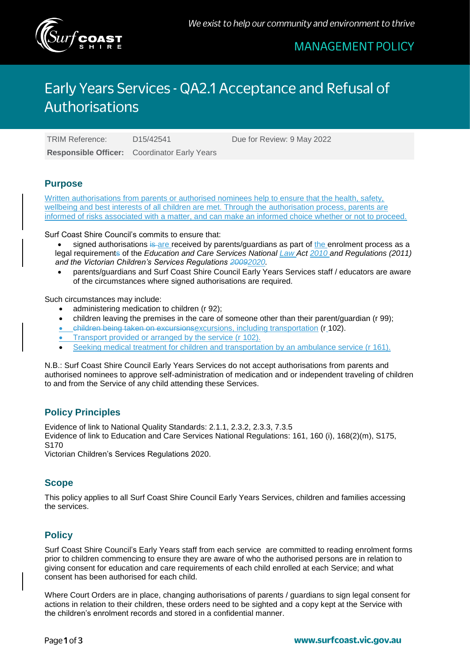

# **MANAGEMENT POLICY**

# Early Years Services - QA2.1 Acceptance and Refusal of **Authorisations**

**Responsible Officer:** Coordinator Early Years

TRIM Reference: D15/42541 Due for Review: 9 May 2022

### **Purpose**

Written authorisations from parents or authorised nominees help to ensure that the health, safety, wellbeing and best interests of all children are met. Through the authorisation process, parents are informed of risks associated with a matter, and can make an informed choice whether or not to proceed.

Surf Coast Shire Council's commits to ensure that:

signed authorisations is are received by parents/guardians as part of the enrolment process as a legal requirements of the *Education and Care Services National Law Act 2010 and Regulations (2011) and the Victorian Children's Services Regulations 20092020.*

 parents/guardians and Surf Coast Shire Council Early Years Services staff / educators are aware of the circumstances where signed authorisations are required.

Such circumstances may include:

- administering medication to children (r 92);
- children leaving the premises in the care of someone other than their parent/guardian (r 99);
- children being taken on excursionsexcursions, including transportation (r 102).
- Transport provided or arranged by the service (r 102).
- Seeking medical treatment for children and transportation by an ambulance service (r 161).

N.B.: Surf Coast Shire Council Early Years Services do not accept authorisations from parents and authorised nominees to approve self-administration of medication and or independent traveling of children to and from the Service of any child attending these Services.

### **Policy Principles**

Evidence of link to National Quality Standards: 2.1.1, 2.3.2, 2.3.3, 7.3.5 Evidence of link to Education and Care Services National Regulations: 161, 160 (i), 168(2)(m), S175, S170

Victorian Children's Services Regulations 2020.

# **Scope**

This policy applies to all Surf Coast Shire Council Early Years Services, children and families accessing the services.

# **Policy**

Surf Coast Shire Council's Early Years staff from each service are committed to reading enrolment forms prior to children commencing to ensure they are aware of who the authorised persons are in relation to giving consent for education and care requirements of each child enrolled at each Service; and what consent has been authorised for each child.

Where Court Orders are in place, changing authorisations of parents / guardians to sign legal consent for actions in relation to their children, these orders need to be sighted and a copy kept at the Service with the children's enrolment records and stored in a confidential manner.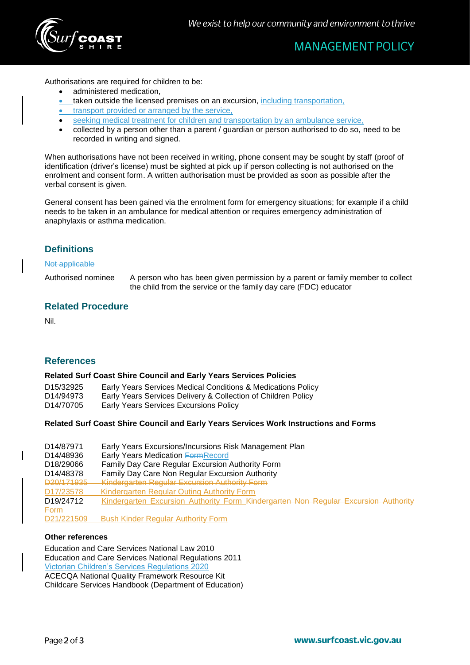

# **MANAGEMENT POLICY**

Authorisations are required for children to be:

- administered medication,
- taken outside the licensed premises on an excursion, including transportation,
- transport provided or arranged by the service,
- seeking medical treatment for children and transportation by an ambulance service,
- collected by a person other than a parent / guardian or person authorised to do so, need to be recorded in writing and signed.

When authorisations have not been received in writing, phone consent may be sought by staff (proof of identification (driver's license) must be sighted at pick up if person collecting is not authorised on the enrolment and consent form. A written authorisation must be provided as soon as possible after the verbal consent is given.

General consent has been gained via the enrolment form for emergency situations; for example if a child needs to be taken in an ambulance for medical attention or requires emergency administration of anaphylaxis or asthma medication.

# **Definitions**

#### Not applicable

Authorised nominee A person who has been given permission by a parent or family member to collect the child from the service or the family day care (FDC) educator

#### **Related Procedure**

Nil.

### **References**

#### **Related Surf Coast Shire Council and Early Years Services Policies**

| D <sub>15</sub> /32925 | Early Years Services Medical Conditions & Medications Policy  |
|------------------------|---------------------------------------------------------------|
| D14/94973              | Early Years Services Delivery & Collection of Children Policy |
| D14/70705              | <b>Early Years Services Excursions Policy</b>                 |

#### **Related Surf Coast Shire Council and Early Years Services Work Instructions and Forms**

| D <sub>14</sub> /87971<br>D14/48936<br>D <sub>18</sub> /29066 | Early Years Excursions/Incursions Risk Management Plan<br>Early Years Medication Form Record<br>Family Day Care Regular Excursion Authority Form |  |
|---------------------------------------------------------------|--------------------------------------------------------------------------------------------------------------------------------------------------|--|
| D14/48378                                                     | Family Day Care Non Regular Excursion Authority                                                                                                  |  |
| D20/171935                                                    | <b>Kindergarten Regular Excursion Authority Form</b>                                                                                             |  |
| D <sub>17</sub> /23578                                        | Kindergarten Regular Outing Authority Form                                                                                                       |  |
| D <sub>19</sub> /24712                                        | Kindergarten Excursion Authority Form Kindergarten Non Regular Excursion Authority                                                               |  |
| <b>Form</b>                                                   |                                                                                                                                                  |  |
| D21/221509                                                    | <b>Bush Kinder Regular Authority Form</b>                                                                                                        |  |

#### **Other references**

Education and Care Services National Law 2010 Education and Care Services National Regulations 2011 Victorian Children's Services Regulations 2020 ACECQA National Quality Framework Resource Kit Childcare Services Handbook (Department of Education)